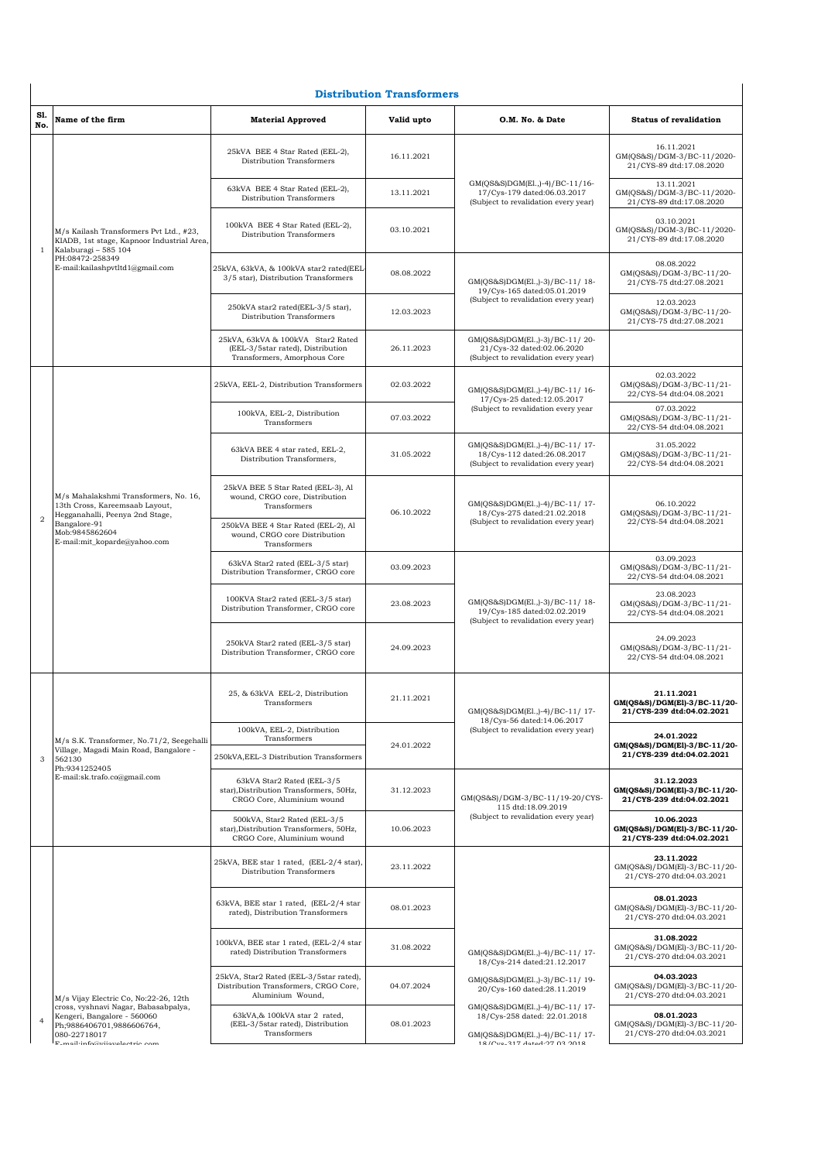|                | <b>Distribution Transformers</b>                                                                                                                                    |                                                                                                        |            |                                                                                                                                                                                                                                                        |                                                                         |  |  |
|----------------|---------------------------------------------------------------------------------------------------------------------------------------------------------------------|--------------------------------------------------------------------------------------------------------|------------|--------------------------------------------------------------------------------------------------------------------------------------------------------------------------------------------------------------------------------------------------------|-------------------------------------------------------------------------|--|--|
| Sl.<br>No.     | Name of the firm                                                                                                                                                    | <b>Material Approved</b>                                                                               | Valid upto | O.M. No. & Date                                                                                                                                                                                                                                        | <b>Status of revalidation</b>                                           |  |  |
|                | M/s Kailash Transformers Pvt Ltd., #23,<br>KIADB, 1st stage, Kapnoor Industrial Area,<br>Kalaburagi - 585 104<br>PH:08472-258349<br>E-mail:kailashpvtltd1@gmail.com | 25kVA BEE 4 Star Rated (EEL-2),<br>Distribution Transformers                                           | 16.11.2021 |                                                                                                                                                                                                                                                        | 16.11.2021<br>GM(QS&S)/DGM-3/BC-11/2020-<br>21/CYS-89 dtd:17.08.2020    |  |  |
|                |                                                                                                                                                                     | 63kVA BEE 4 Star Rated (EEL-2),<br>Distribution Transformers                                           | 13.11.2021 | GM(QS&S)DGM(El.,)-4)/BC-11/16-<br>17/Cys-179 dated:06.03.2017<br>(Subject to revalidation every year)                                                                                                                                                  | 13.11.2021<br>GM(QS&S)/DGM-3/BC-11/2020-<br>21/CYS-89 dtd:17.08.2020    |  |  |
| $\mathbf{1}$   |                                                                                                                                                                     | 100kVA BEE 4 Star Rated (EEL-2),<br>Distribution Transformers                                          | 03.10.2021 |                                                                                                                                                                                                                                                        | 03.10.2021<br>GM(QS&S)/DGM-3/BC-11/2020-<br>21/CYS-89 dtd:17.08.2020    |  |  |
|                |                                                                                                                                                                     | 25kVA, 63kVA, & 100kVA star2 rated(EEL<br>3/5 star), Distribution Transformers                         | 08.08.2022 | GM(QS&S)DGM(El.,)-3)/BC-11/18-<br>19/Cys-165 dated:05.01.2019                                                                                                                                                                                          | 08.08.2022<br>GM(QS&S)/DGM-3/BC-11/20-<br>21/CYS-75 dtd:27.08.2021      |  |  |
|                |                                                                                                                                                                     | 250kVA star2 rated(EEL-3/5 star),<br>Distribution Transformers                                         | 12.03.2023 | (Subject to revalidation every year)                                                                                                                                                                                                                   | 12.03.2023<br>GM(QS&S)/DGM-3/BC-11/20-<br>21/CYS-75 dtd:27.08.2021      |  |  |
|                |                                                                                                                                                                     | 25kVA, 63kVA & 100kVA Star2 Rated<br>(EEL-3/5star rated), Distribution<br>Transformers, Amorphous Core | 26.11.2023 | GM(QS&S)DGM(E1.,)-3)/BC-11/20-<br>21/Cys-32 dated:02.06.2020<br>(Subject to revalidation every year)                                                                                                                                                   |                                                                         |  |  |
|                |                                                                                                                                                                     | 25kVA, EEL-2, Distribution Transformers                                                                | 02.03.2022 | GM(QS&S)DGM(El.,)-4)/BC-11/16-<br>17/Cvs-25 dated:12.05.2017                                                                                                                                                                                           | 02.03.2022<br>GM(QS&S)/DGM-3/BC-11/21-<br>22/CYS-54 dtd:04.08.2021      |  |  |
|                |                                                                                                                                                                     | 100kVA, EEL-2, Distribution<br>Transformers                                                            | 07.03.2022 | (Subject to revalidation every year<br>GM(QS&S)DGM(El.,)-4)/BC-11/ 17-<br>18/Cys-112 dated:26.08.2017<br>(Subject to revalidation every year)<br>GM(QS&S)DGM(El.,)-4)/BC-11/17-<br>18/Cys-275 dated:21.02.2018<br>(Subject to revalidation every year) | 07.03.2022<br>GM(QS&S)/DGM-3/BC-11/21-<br>22/CYS-54 dtd:04.08.2021      |  |  |
|                |                                                                                                                                                                     | 63kVA BEE 4 star rated, EEL-2,<br>Distribution Transformers,                                           | 31.05.2022 |                                                                                                                                                                                                                                                        | 31.05.2022<br>GM(QS&S)/DGM-3/BC-11/21-<br>22/CYS-54 dtd:04.08.2021      |  |  |
| $\overline{2}$ | M/s Mahalakshmi Transformers, No. 16,<br>13th Cross, Kareemsaab Layout,<br>Hegganahalli, Peenya 2nd Stage,                                                          | 25kVA BEE 5 Star Rated (EEL-3), Al<br>wound, CRGO core, Distribution<br>Transformers                   | 06.10.2022 |                                                                                                                                                                                                                                                        | 06.10.2022<br>GM(QS&S)/DGM-3/BC-11/21-                                  |  |  |
|                | Bangalore-91<br>Mob:9845862604<br>E-mail:mit_koparde@yahoo.com                                                                                                      | 250kVA BEE 4 Star Rated (EEL-2), Al<br>wound, CRGO core Distribution<br>Transformers                   |            |                                                                                                                                                                                                                                                        | 22/CYS-54 dtd:04.08.2021                                                |  |  |
|                |                                                                                                                                                                     | 63kVA Star2 rated (EEL-3/5 star)<br>Distribution Transformer, CRGO core                                | 03.09.2023 | GM(QS&S)DGM(El.,)-3)/BC-11/18-<br>19/Cys-185 dated:02.02.2019<br>(Subject to revalidation every year)                                                                                                                                                  | 03.09.2023<br>GM(QS&S)/DGM-3/BC-11/21-<br>22/CYS-54 dtd:04.08.2021      |  |  |
|                |                                                                                                                                                                     | 100KVA Star2 rated (EEL-3/5 star)<br>Distribution Transformer, CRGO core                               | 23.08.2023 |                                                                                                                                                                                                                                                        | 23.08.2023<br>GM(QS&S)/DGM-3/BC-11/21-<br>22/CYS-54 dtd:04.08.2021      |  |  |
|                |                                                                                                                                                                     | 250kVA Star2 rated (EEL-3/5 star)<br>Distribution Transformer, CRGO core                               | 24.09.2023 |                                                                                                                                                                                                                                                        | 24.09.2023<br>GM(QS&S)/DGM-3/BC-11/21-<br>22/CYS-54 dtd:04.08.2021      |  |  |
|                |                                                                                                                                                                     | 25, & 63kVA EEL-2, Distribution<br>Transformers                                                        | 21.11.2021 | GM(QS&S)DGM(El.,)-4)/BC-11/17-<br>18/Cys-56 dated:14.06.2017                                                                                                                                                                                           | 21.11.2021<br>GM(QS&S)/DGM(El)-3/BC-11/20-<br>21/CYS-239 dtd:04.02.2021 |  |  |
|                | M/s S.K. Transformer, No.71/2, Seegehalli<br>Village, Magadi Main Road, Bangalore -                                                                                 | 100kVA, EEL-2, Distribution<br>Transformers                                                            | 24.01.2022 | (Subject to revalidation every year)                                                                                                                                                                                                                   | 24.01.2022<br>GM(QS&S)/DGM(El)-3/BC-11/20-                              |  |  |
| 3              | 562130<br>Ph:9341252405                                                                                                                                             | 250kVA, EEL-3 Distribution Transformers                                                                |            |                                                                                                                                                                                                                                                        | 21/CYS-239 dtd:04.02.2021                                               |  |  |
|                | E-mail:sk.trafo.co@gmail.com                                                                                                                                        | 63kVA Star2 Rated (EEL-3/5<br>star), Distribution Transformers, 50Hz,<br>CRGO Core, Aluminium wound    | 31.12.2023 | GM(QS&S)/DGM-3/BC-11/19-20/CYS-<br>115 dtd:18.09.2019                                                                                                                                                                                                  | 31.12.2023<br>GM(QS&S)/DGM(El)-3/BC-11/20-<br>21/CYS-239 dtd:04.02.2021 |  |  |
|                |                                                                                                                                                                     | 500kVA, Star2 Rated (EEL-3/5<br>star), Distribution Transformers, 50Hz,<br>CRGO Core, Aluminium wound  | 10.06.2023 | (Subject to revalidation every year)                                                                                                                                                                                                                   | 10.06.2023<br>GM(QS&S)/DGM(El)-3/BC-11/20-<br>21/CYS-239 dtd:04.02.2021 |  |  |
|                |                                                                                                                                                                     | 25kVA, BEE star 1 rated, (EEL-2/4 star),<br>Distribution Transformers                                  | 23.11.2022 |                                                                                                                                                                                                                                                        | 23.11.2022<br>GM(QS&S)/DGM(El)-3/BC-11/20-<br>21/CYS-270 dtd:04.03.2021 |  |  |
|                |                                                                                                                                                                     | 63kVA, BEE star 1 rated, (EEL-2/4 star<br>rated), Distribution Transformers                            | 08.01.2023 |                                                                                                                                                                                                                                                        | 08.01.2023<br>GM(QS&S)/DGM(El)-3/BC-11/20-<br>21/CYS-270 dtd:04.03.2021 |  |  |
|                |                                                                                                                                                                     | 100kVA, BEE star 1 rated, (EEL-2/4 star<br>rated) Distribution Transformers                            | 31.08.2022 | GM(QS&S)DGM(El.,)-4)/BC-11/17-<br>18/Cys-214 dated:21.12.2017                                                                                                                                                                                          | 31.08.2022<br>GM(QS&S)/DGM(El)-3/BC-11/20-<br>21/CYS-270 dtd:04.03.2021 |  |  |
|                | M/s Vijay Electric Co, No:22-26, 12th                                                                                                                               | 25kVA, Star2 Rated (EEL-3/5star rated),<br>Distribution Transformers, CRGO Core,<br>Aluminium Wound,   | 04.07.2024 | GM(QS&S)DGM(El.,)-3)/BC-11/19-<br>20/Cys-160 dated:28.11.2019<br>GM(QS&S)DGM(El.,)-4)/BC-11/ 17-                                                                                                                                                       | 04.03.2023<br>GM(QS&S)/DGM(El)-3/BC-11/20-<br>21/CYS-270 dtd:04.03.2021 |  |  |
| $\overline{4}$ | cross, vyshnavi Nagar, Babasabpalya,<br>Kengeri, Bangalore - 560060<br>Ph;9886406701,9886606764,<br>080-22718017<br>E moil·info@viiovalactric.com                   | 63kVA,& 100kVA star 2 rated,<br>(EEL-3/5star rated), Distribution<br>Transformers                      | 08.01.2023 | 18/Cys-258 dated: 22.01.2018<br>GM(QS&S)DGM(El.,)-4)/BC-11/ 17-<br>18/Ctrn 217 AntaA-07 02 0018                                                                                                                                                        | 08.01.2023<br>GM(QS&S)/DGM(El)-3/BC-11/20-<br>21/CYS-270 dtd:04.03.2021 |  |  |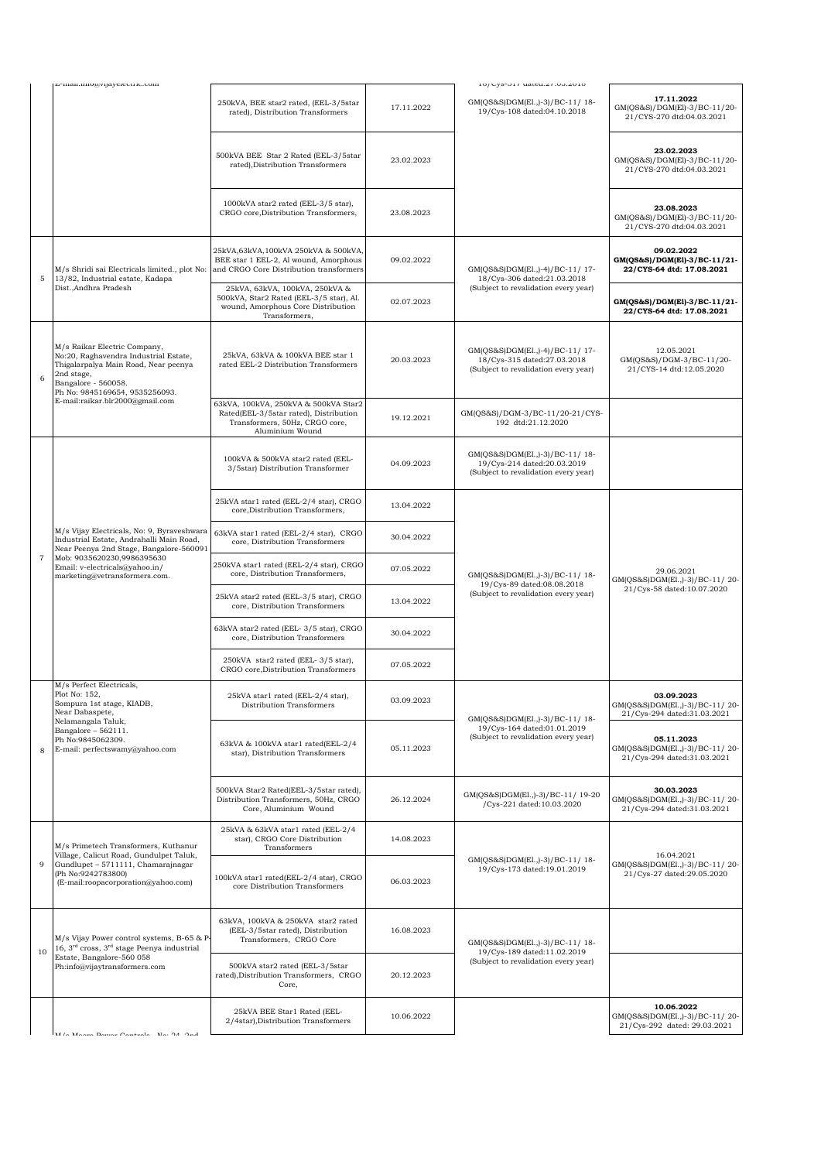|        | г.-шап.ппо@утаустсстге.com                                                                                                                                                                                                         | 250kVA, BEE star2 rated, (EEL-3/5star<br>rated), Distribution Transformers                                                          | 17.11.2022 | 10/03-01/ uateu.21.00.2010<br>GM(OS&S)DGM(El.,)-3)/BC-11/18-<br>19/Cys-108 dated:04.10.2018           | 17.11.2022<br>GM(QS&S)/DGM(El)-3/BC-11/20-<br>21/CYS-270 dtd:04.03.2021                                                                                                                                                                  |
|--------|------------------------------------------------------------------------------------------------------------------------------------------------------------------------------------------------------------------------------------|-------------------------------------------------------------------------------------------------------------------------------------|------------|-------------------------------------------------------------------------------------------------------|------------------------------------------------------------------------------------------------------------------------------------------------------------------------------------------------------------------------------------------|
|        |                                                                                                                                                                                                                                    | 500kVA BEE Star 2 Rated (EEL-3/5star<br>rated), Distribution Transformers                                                           | 23.02.2023 |                                                                                                       | 23.02.2023<br>GM(QS&S)/DGM(El)-3/BC-11/20-<br>21/CYS-270 dtd:04.03.2021                                                                                                                                                                  |
|        |                                                                                                                                                                                                                                    | 1000kVA star2 rated (EEL-3/5 star),<br>CRGO core, Distribution Transformers,                                                        | 23.08.2023 |                                                                                                       | 23.08.2023<br>GM(QS&S)/DGM(El)-3/BC-11/20-<br>21/CYS-270 dtd:04.03.2021                                                                                                                                                                  |
| 5      | M/s Shridi sai Electricals limited., plot No:<br>13/82, Industrial estate, Kadapa                                                                                                                                                  | 25kVA,63kVA,100kVA 250kVA & 500kVA,<br>BEE star 1 EEL-2, Al wound, Amorphous<br>and CRGO Core Distribution transformers             | 09.02.2022 | GM(QS&S)DGM(El.,)-4)/BC-11/17-<br>18/Cys-306 dated:21.03.2018                                         | 09.02.2022<br>GM(QS&S)/DGM(El)-3/BC-11/21-<br>22/CYS-64 dtd: 17.08.2021                                                                                                                                                                  |
|        | Dist., Andhra Pradesh                                                                                                                                                                                                              | 25kVA, 63kVA, 100kVA, 250kVA &<br>500kVA, Star2 Rated (EEL-3/5 star), Al.<br>wound, Amorphous Core Distribution<br>Transformers,    | 02.07.2023 | (Subject to revalidation every year)                                                                  | GM(QS&S)/DGM(El)-3/BC-11/21-<br>22/CYS-64 dtd: 17.08.2021                                                                                                                                                                                |
| 6      | M/s Raikar Electric Company,<br>No:20, Raghavendra Industrial Estate,<br>Thigalarpalya Main Road, Near peenya<br>2nd stage,<br>Bangalore - 560058.<br>Ph No: 9845169654, 9535256093.                                               | 25kVA, 63kVA & 100kVA BEE star 1<br>rated EEL-2 Distribution Transformers                                                           | 20.03.2023 | GM(OS&S)DGM(El.,)-4)/BC-11/17-<br>18/Cys-315 dated:27.03.2018<br>(Subject to revalidation every year) | 12.05.2021<br>GM(QS&S)/DGM-3/BC-11/20-<br>21/CYS-14 dtd:12.05.2020                                                                                                                                                                       |
|        | E-mail:raikar.blr2000@gmail.com                                                                                                                                                                                                    | 63kVA, 100kVA, 250kVA & 500kVA Star2<br>Rated(EEL-3/5star rated), Distribution<br>Transformers, 50Hz, CRGO core,<br>Aluminium Wound | 19.12.2021 | GM(QS&S)/DGM-3/BC-11/20-21/CYS-<br>192 dtd:21.12.2020                                                 | 29.06.2021<br>GM(QS&S)DGM(El.,)-3)/BC-11/20-<br>21/Cys-58 dated:10.07.2020<br>03.09.2023<br>GM(QS&S)DGM(El.,)-3)/BC-11/20-<br>21/Cys-294 dated:31.03.2021<br>05.11.2023<br>GM(QS&S)DGM(El.,)-3)/BC-11/20-<br>21/Cys-294 dated:31.03.2021 |
|        |                                                                                                                                                                                                                                    | 100kVA & 500kVA star2 rated (EEL-<br>3/5star) Distribution Transformer                                                              | 04.09.2023 | GM(QS&S)DGM(El.,)-3)/BC-11/18-<br>19/Cys-214 dated:20.03.2019<br>(Subject to revalidation every year) |                                                                                                                                                                                                                                          |
|        |                                                                                                                                                                                                                                    | 25kVA star1 rated (EEL-2/4 star), CRGO<br>core, Distribution Transformers,                                                          | 13.04.2022 |                                                                                                       |                                                                                                                                                                                                                                          |
|        | M/s Vijay Electricals, No: 9, Byraveshwara<br>Industrial Estate, Andrahalli Main Road,<br>Near Peenya 2nd Stage, Bangalore-560091<br>Mob: 9035620230,9986395630<br>Email: v-electricals@yahoo.in/<br>marketing@vetransformers.com. | 63kVA star1 rated (EEL-2/4 star), CRGO<br>core, Distribution Transformers                                                           | 30.04.2022 | GM(QS&S)DGM(El.,)-3)/BC-11/18-<br>19/Cys-89 dated:08.08.2018<br>(Subject to revalidation every year)  |                                                                                                                                                                                                                                          |
| $\tau$ |                                                                                                                                                                                                                                    | 250kVA star1 rated (EEL-2/4 star), CRGO<br>core, Distribution Transformers,                                                         | 07.05.2022 |                                                                                                       |                                                                                                                                                                                                                                          |
|        |                                                                                                                                                                                                                                    | 25kVA star2 rated (EEL-3/5 star), CRGO<br>core, Distribution Transformers                                                           | 13.04.2022 |                                                                                                       |                                                                                                                                                                                                                                          |
|        |                                                                                                                                                                                                                                    | 63kVA star2 rated (EEL-3/5 star), CRGO<br>core, Distribution Transformers                                                           | 30.04.2022 |                                                                                                       |                                                                                                                                                                                                                                          |
|        |                                                                                                                                                                                                                                    | 250kVA star2 rated (EEL-3/5 star),<br>CRGO core, Distribution Transformers                                                          | 07.05.2022 |                                                                                                       |                                                                                                                                                                                                                                          |
|        | M/s Perfect Electricals,<br>Plot No: 152,<br>Sompura 1st stage, KIADB,<br>Near Dabaspete,                                                                                                                                          | 25kVA star1 rated (EEL-2/4 star),<br>Distribution Transformers                                                                      | 03.09.2023 | GM(QS&S)DGM(El.,)-3)/BC-11/18-                                                                        |                                                                                                                                                                                                                                          |
| 8      | Nelamangala Taluk,<br>Bangalore - $562111$ .<br>Ph No:9845062309.<br>E-mail: perfectswamy@yahoo.com                                                                                                                                | 63kVA & 100kVA star1 rated(EEL-2/4<br>star), Distribution Transformers                                                              | 05.11.2023 | 19/Cys-164 dated:01.01.2019<br>(Subject to revalidation every year)                                   |                                                                                                                                                                                                                                          |
|        |                                                                                                                                                                                                                                    | 500kVA Star2 Rated(EEL-3/5star rated),<br>Distribution Transformers, 50Hz, CRGO<br>Core, Aluminium Wound                            | 26.12.2024 | GM(QS&S)DGM(El.,)-3)/BC-11/ 19-20<br>/Cys-221 dated:10.03.2020                                        | 30.03.2023<br>GM(QS&S)DGM(El.,)-3)/BC-11/20-<br>21/Cys-294 dated:31.03.2021                                                                                                                                                              |
|        | M/s Primetech Transformers, Kuthanur<br>Village, Calicut Road, Gundulpet Taluk,                                                                                                                                                    | 25kVA & 63kVA star1 rated (EEL-2/4<br>star), CRGO Core Distribution<br>Transformers                                                 | 14.08.2023 |                                                                                                       | 16.04.2021                                                                                                                                                                                                                               |
| 9      | Gundlupet - 5711111, Chamarajnagar<br>(Ph No:9242783800)<br>(E-mail:roopacorporation@yahoo.com)                                                                                                                                    | 100kVA star1 rated(EEL-2/4 star), CRGO<br>core Distribution Transformers                                                            | 06.03.2023 | GM(QS&S)DGM(El.,)-3)/BC-11/18-<br>19/Cys-173 dated:19.01.2019                                         | GM(QS&S)DGM(El.,)-3)/BC-11/20-<br>21/Cys-27 dated:29.05.2020                                                                                                                                                                             |
| 10     | M/s Vijay Power control systems, B-65 & P-<br>16, $3rd$ cross, $3rd$ stage Peenya industrial                                                                                                                                       | 63kVA, 100kVA & 250kVA star2 rated<br>(EEL-3/5star rated), Distribution<br>Transformers, CRGO Core                                  | 16.08.2023 | GM(QS&S)DGM(El.,)-3)/BC-11/18-<br>19/Cys-189 dated:11.02.2019                                         |                                                                                                                                                                                                                                          |
|        | Estate, Bangalore-560 058<br>Ph:info@vijaytransformers.com                                                                                                                                                                         | 500kVA star2 rated (EEL-3/5star<br>rated), Distribution Transformers, CRGO<br>Core,                                                 | 20.12.2023 | (Subject to revalidation every year)                                                                  |                                                                                                                                                                                                                                          |
|        | M /o Moore Domas Controls - No. 04 Ond                                                                                                                                                                                             | 25kVA BEE Star1 Rated (EEL-<br>2/4star), Distribution Transformers                                                                  | 10.06.2022 |                                                                                                       | 10.06.2022<br>GM(QS&S)DGM(El.,)-3)/BC-11/20-<br>21/Cys-292 dated: 29.03.2021                                                                                                                                                             |
|        |                                                                                                                                                                                                                                    |                                                                                                                                     |            |                                                                                                       |                                                                                                                                                                                                                                          |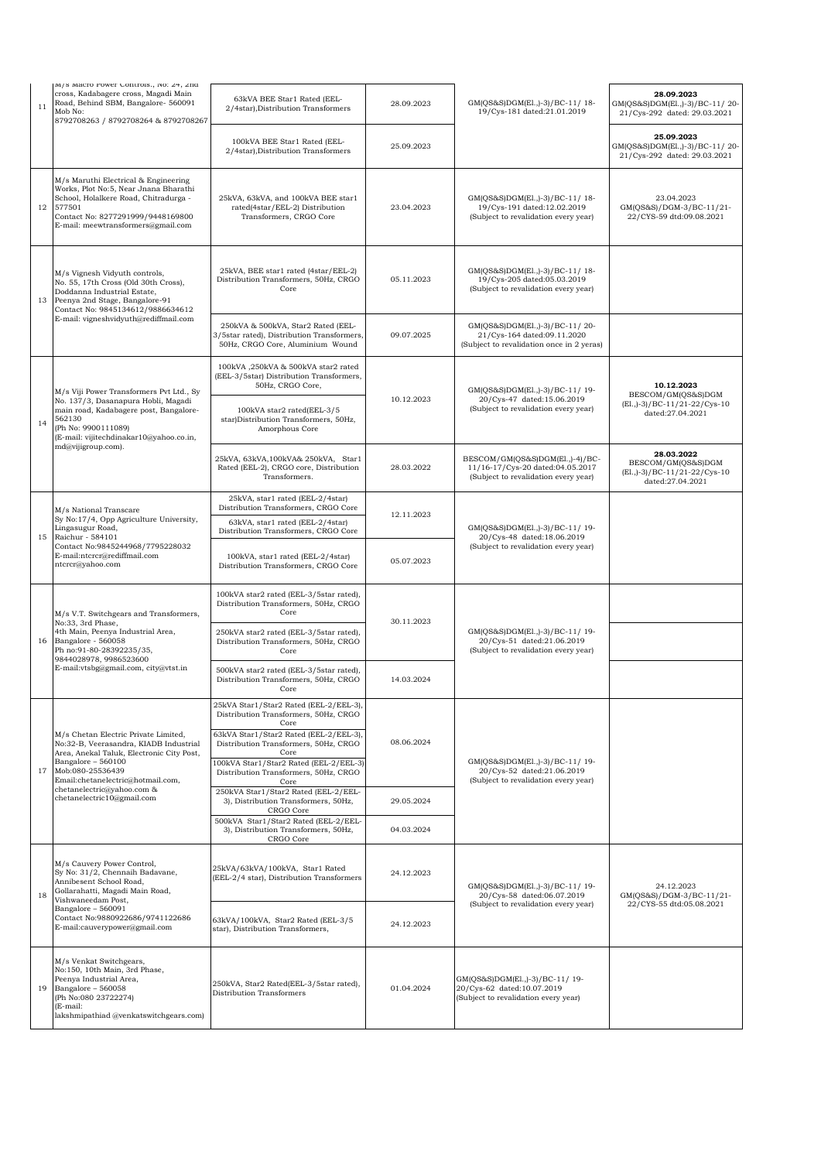| 11           | m/s macro rower controls., No: 24, 2nu<br>cross, Kadabagere cross, Magadi Main<br>Road, Behind SBM, Bangalore- 560091<br>Mob No:                                                                                                             | 63kVA BEE Star1 Rated (EEL-<br>2/4star), Distribution Transformers                                                                                                                                                                  | 28.09.2023               | GM(QS&S)DGM(El.,)-3)/BC-11/18-<br>19/Cys-181 dated:21.01.2019                                               | 28.09.2023<br>GM(QS&S)DGM(El.,)-3)/BC-11/20-<br>21/Cys-292 dated: 29.03.2021             |
|--------------|----------------------------------------------------------------------------------------------------------------------------------------------------------------------------------------------------------------------------------------------|-------------------------------------------------------------------------------------------------------------------------------------------------------------------------------------------------------------------------------------|--------------------------|-------------------------------------------------------------------------------------------------------------|------------------------------------------------------------------------------------------|
|              | 8792708263 / 8792708264 & 8792708267                                                                                                                                                                                                         | 100kVA BEE Star1 Rated (EEL-<br>2/4star), Distribution Transformers                                                                                                                                                                 | 25.09.2023               |                                                                                                             | 25.09.2023<br>GM(QS&S)DGM(El.,)-3)/BC-11/20-<br>21/Cys-292 dated: 29.03.2021             |
| 12           | M/s Maruthi Electrical & Engineering<br>Works, Plot No:5, Near Jnana Bharathi<br>School, Holalkere Road, Chitradurga -<br>577501<br>Contact No: 8277291999/9448169800<br>E-mail: meewtransformers@gmail.com                                  | 25kVA, 63kVA, and 100kVA BEE star1<br>rated(4star/EEL-2) Distribution<br>Transformers, CRGO Core                                                                                                                                    | 23.04.2023               | GM(QS&S)DGM(El.,)-3)/BC-11/18-<br>19/Cys-191 dated:12.02.2019<br>(Subject to revalidation every year)       | 23.04.2023<br>GM(QS&S)/DGM-3/BC-11/21-<br>22/CYS-59 dtd:09.08.2021                       |
| 13           | M/s Vignesh Vidyuth controls,<br>No. 55, 17th Cross (Old 30th Cross),<br>Doddanna Industrial Estate,<br>Peenya 2nd Stage, Bangalore-91<br>Contact No: 9845134612/9886634612                                                                  | 25kVA, BEE star1 rated (4star/EEL-2)<br>Distribution Transformers, 50Hz, CRGO<br>Core                                                                                                                                               | 05.11.2023               | GM(QS&S)DGM(El.,)-3)/BC-11/18-<br>19/Cys-205 dated:05.03.2019<br>(Subject to revalidation every year)       |                                                                                          |
|              | E-mail: vigneshvidyuth@rediffmail.com                                                                                                                                                                                                        | 250kVA & 500kVA, Star2 Rated (EEL-<br>3/5star rated), Distribution Transformers,<br>50Hz, CRGO Core, Aluminium Wound                                                                                                                | 09.07.2025               | GM(QS&S)DGM(El.,)-3)/BC-11/20-<br>21/Cys-164 dated:09.11.2020<br>(Subject to revalidation once in 2 yeras)  |                                                                                          |
| 562130<br>14 | M/s Viji Power Transformers Pvt Ltd., Sy<br>No. 137/3, Dasanapura Hobli, Magadi<br>main road, Kadabagere post, Bangalore-                                                                                                                    | 100kVA ,250kVA & 500kVA star2 rated<br>(EEL-3/5star) Distribution Transformers,<br>50Hz, CRGO Core,<br>100kVA star2 rated(EEL-3/5<br>star)Distribution Transformers, 50Hz,                                                          | 10.12.2023               | GM(QS&S)DGM(El.,)-3)/BC-11/19-<br>20/Cys-47 dated:15.06.2019<br>(Subject to revalidation every year)        | 10.12.2023<br>BESCOM/GM(QS&S)DGM<br>(El., )-3) / BC-11/21-22/Cys-10<br>dated:27.04.2021  |
|              | (Ph No: 9900111089)<br>(E-mail: vijitechdinakar10@yahoo.co.in,<br>md@vijigroup.com).                                                                                                                                                         | Amorphous Core<br>25kVA, 63kVA, 100kVA& 250kVA, Star1<br>Rated (EEL-2), CRGO core, Distribution<br>Transformers.                                                                                                                    | 28.03.2022               | BESCOM/GM(QS&S)DGM(El.,)-4)/BC-<br>11/16-17/Cys-20 dated:04.05.2017<br>(Subject to revalidation every year) | 28.03.2022<br>BESCOM/GM(QS&S)DGM<br>(El., )-3) / BC-11/21-22/ Cys-10<br>dated:27.04.2021 |
| 15           | M/s National Transcare<br>Sy No:17/4, Opp Agriculture University,<br>Lingasugur Road,<br>Raichur - 584101<br>Contact No:9845244968/7795228032<br>E-mail:ntcrcr@rediffmail.com<br>ntcrcr@yahoo.com                                            | 25kVA, star1 rated (EEL-2/4star)<br>Distribution Transformers, CRGO Core<br>63kVA, star1 rated (EEL-2/4star)<br>Distribution Transformers, CRGO Core                                                                                | 12.11.2023               | GM(QS&S)DGM(El.,)-3)/BC-11/19-<br>20/Cys-48 dated:18.06.2019                                                |                                                                                          |
|              |                                                                                                                                                                                                                                              | 100kVA, star1 rated (EEL-2/4star)<br>Distribution Transformers, CRGO Core                                                                                                                                                           | 05.07.2023               | (Subject to revalidation every year)                                                                        |                                                                                          |
|              | M/s V.T. Switchgears and Transformers,<br>No:33, 3rd Phase,<br>4th Main, Peenya Industrial Area,<br>Bangalore - 560058<br>Ph no:91-80-28392235/35,<br>9844028978, 9986523600<br>E-mail:vtsbg@gmail.com, city@vtst.in                         | 100kVA star2 rated (EEL-3/5star rated),<br>Distribution Transformers, 50Hz, CRGO<br>Core                                                                                                                                            | 30.11.2023               |                                                                                                             |                                                                                          |
| 16           |                                                                                                                                                                                                                                              | 250kVA star2 rated (EEL-3/5star rated),<br>Distribution Transformers, 50Hz, CRGO<br>Core<br>500kVA star2 rated (EEL-3/5star rated),                                                                                                 |                          | GM(QS&S)DGM(El.,)-3)/BC-11/19-<br>20/Cys-51 dated:21.06.2019<br>(Subject to revalidation every year)        |                                                                                          |
|              |                                                                                                                                                                                                                                              | Distribution Transformers, 50Hz, CRGO<br>Core<br>25kVA Star1/Star2 Rated (EEL-2/EEL-3),                                                                                                                                             | 14.03.2024               |                                                                                                             |                                                                                          |
| 17           | M/s Chetan Electric Private Limited,<br>No:32-B, Veerasandra, KIADB Industrial<br>Area, Anekal Taluk, Electronic City Post,<br>Bangalore - 560100<br>Mob:080-25536439<br>Email:chetanelectric@hotmail.com,                                   | Distribution Transformers, 50Hz, CRGO<br>Core<br>63kVA Star1/Star2 Rated (EEL-2/EEL-3),<br>Distribution Transformers, 50Hz, CRGO<br>Core<br>100kVA Star1/Star2 Rated (EEL-2/EEL-3)<br>Distribution Transformers, 50Hz, CRGO<br>Core | 08.06.2024               | GM(QS&S)DGM(El.,)-3)/BC-11/19-<br>20/Cys-52 dated:21.06.2019<br>(Subject to revalidation every year)        |                                                                                          |
|              | chetanelectric@yahoo.com &<br>chetanelectric10@gmail.com                                                                                                                                                                                     | 250kVA Star1/Star2 Rated (EEL-2/EEL-<br>3), Distribution Transformers, 50Hz,<br>CRGO Core<br>500kVA Star1/Star2 Rated (EEL-2/EEL-<br>3), Distribution Transformers, 50Hz,                                                           | 29.05.2024<br>04.03.2024 |                                                                                                             |                                                                                          |
| 18           | M/s Cauvery Power Control,<br>Sy No: 31/2, Chennaih Badavane,<br>Annibesent School Road,<br>Gollarahatti, Magadi Main Road,<br>Vishwaneedam Post,<br>Bangalore - 560091<br>Contact No:9880922686/9741122686<br>E-mail:cauverypower@gmail.com | CRGO Core<br>25kVA/63kVA/100kVA, Star1 Rated<br>(EEL-2/4 star), Distribution Transformers                                                                                                                                           | 24.12.2023               | GM(QS&S)DGM(El.,)-3)/BC-11/19-<br>20/Cys-58 dated:06.07.2019                                                | 24.12.2023<br>GM(QS&S)/DGM-3/BC-11/21-                                                   |
|              |                                                                                                                                                                                                                                              | 63kVA/100kVA, Star2 Rated (EEL-3/5<br>star), Distribution Transformers,                                                                                                                                                             | 24.12.2023               | (Subject to revalidation every year)                                                                        | 22/CYS-55 dtd:05.08.2021                                                                 |
| 19           | M/s Venkat Switchgears,<br>No:150, 10th Main, 3rd Phase,<br>Peenya Industrial Area,<br>Bangalore - 560058<br>(Ph No:080 23722274)<br>(E-mail:<br>lakshmipathiad @venkatswitchgears.com)                                                      | 250kVA, Star2 Rated(EEL-3/5star rated),<br>Distribution Transformers                                                                                                                                                                | 01.04.2024               | GM(QS&S)DGM(El.,)-3)/BC-11/19-<br>20/Cys-62 dated:10.07.2019<br>(Subject to revalidation every year)        |                                                                                          |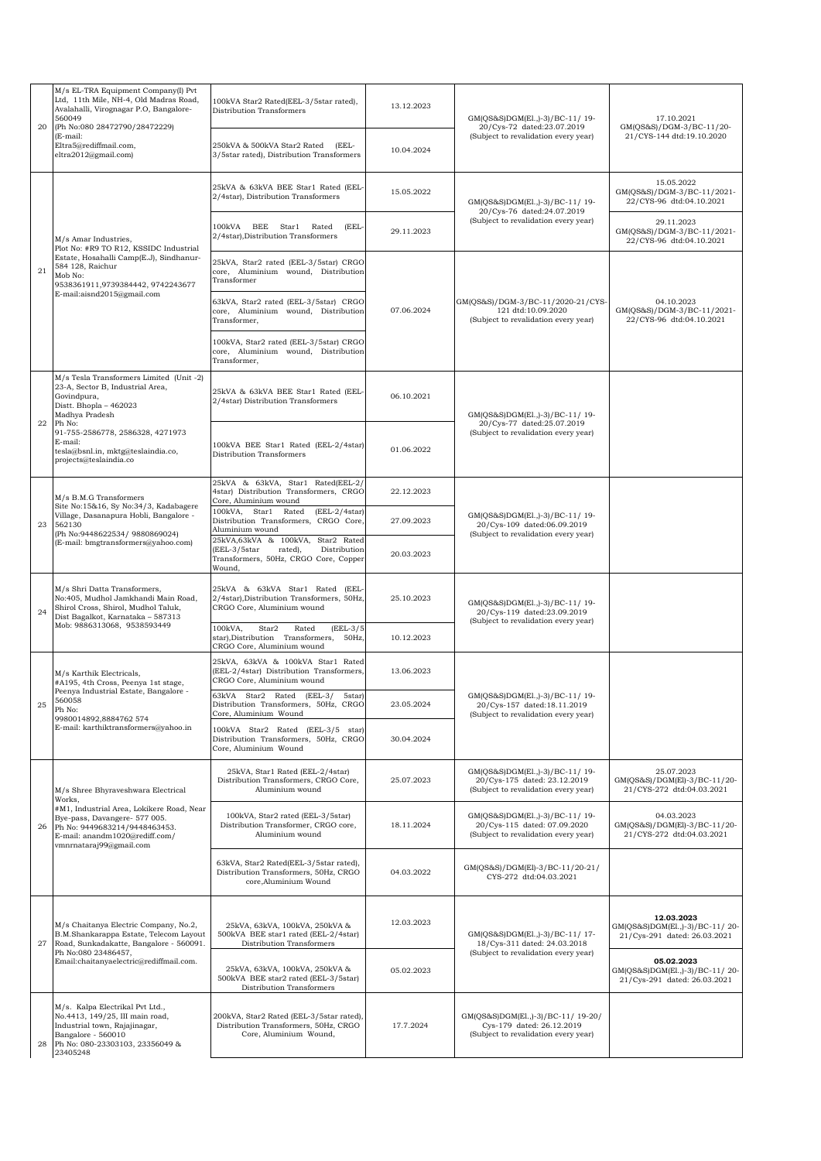| 20 | M/s EL-TRA Equipment Company(I) Pvt<br>Ltd, 11th Mile, NH-4, Old Madras Road,<br>Avalahalli, Virognagar P.O, Bangalore-<br>560049<br>(Ph No:080 28472790/28472229)             | 100kVA Star2 Rated(EEL-3/5star rated),<br>Distribution Transformers                                                             | 13.12.2023 | GM(QS&S)DGM(El.,)-3)/BC-11/19-<br>20/Cys-72 dated:23.07.2019                                            | 17.10.2021<br>GM(QS&S)/DGM-3/BC-11/20-                                       |
|----|--------------------------------------------------------------------------------------------------------------------------------------------------------------------------------|---------------------------------------------------------------------------------------------------------------------------------|------------|---------------------------------------------------------------------------------------------------------|------------------------------------------------------------------------------|
|    | (E-mail:<br>Eltra5@rediffmail.com.<br>eltra2012@gmail.com)                                                                                                                     | 250kVA & 500kVA Star2 Rated (EEL-<br>3/5star rated), Distribution Transformers                                                  | 10.04.2024 | (Subject to revalidation every year)                                                                    | 21/CYS-144 dtd:19.10.2020                                                    |
| 21 |                                                                                                                                                                                | 25kVA & 63kVA BEE Star1 Rated (EEL<br>2/4star), Distribution Transformers                                                       | 15.05.2022 | GM(QS&S)DGM(El., )-3)/BC-11/19-                                                                         | 15.05.2022<br>GM(QS&S)/DGM-3/BC-11/2021-<br>22/CYS-96 dtd:04.10.2021         |
|    | M/s Amar Industries,                                                                                                                                                           | 100kVA BEE Star1<br>Rated<br>(EEL-<br>2/4star), Distribution Transformers                                                       | 29.11.2023 | 20/Cys-76 dated:24.07.2019<br>(Subject to revalidation every year)                                      | 29.11.2023<br>GM(QS&S)/DGM-3/BC-11/2021-<br>22/CYS-96 dtd:04.10.2021         |
|    | Plot No: #R9 TO R12, KSSIDC Industrial<br>Estate, Hosahalli Camp(E.J), Sindhanur-<br>584 128, Raichur<br>Mob No:<br>9538361911,9739384442, 9742243677                          | 25kVA, Star2 rated (EEL-3/5star) CRGO<br>core, Aluminium wound, Distribution<br>Transformer                                     |            |                                                                                                         |                                                                              |
|    | E-mail:aisnd2015@gmail.com                                                                                                                                                     | 63kVA, Star2 rated (EEL-3/5star) CRGO<br>core, Aluminium wound, Distribution<br>Transformer,                                    | 07.06.2024 | GM(QS&S)/DGM-3/BC-11/2020-21/CYS-<br>121 dtd:10.09.2020<br>(Subject to revalidation every year)         | 04.10.2023<br>GM(QS&S)/DGM-3/BC-11/2021-<br>22/CYS-96 dtd:04.10.2021         |
|    |                                                                                                                                                                                | 100kVA, Star2 rated (EEL-3/5star) CRGO<br>core, Aluminium wound, Distribution<br>Transformer.                                   |            |                                                                                                         |                                                                              |
|    | M/s Tesla Transformers Limited (Unit -2)<br>23-A, Sector B, Industrial Area,<br>Govindpura,<br>Distt. Bhopla - 462023<br>Madhya Pradesh                                        | 25kVA & 63kVA BEE Star1 Rated (EEL-<br>2/4star) Distribution Transformers                                                       | 06.10.2021 | GM(QS&S)DGM(El.,)-3)/BC-11/19-                                                                          |                                                                              |
| 22 | Ph No:<br>91-755-2586778, 2586328, 4271973<br>E-mail:<br>tesla@bsnl.in, mktg@teslaindia.co,<br>projects@teslaindia.co                                                          | 100kVA BEE Star1 Rated (EEL-2/4star)<br>Distribution Transformers                                                               | 01.06.2022 | 20/Cys-77 dated:25.07.2019<br>(Subject to revalidation every year)                                      |                                                                              |
|    | M/s B.M.G Transformers<br>Site No:15&16, Sy No:34/3, Kadabagere                                                                                                                | 25kVA & 63kVA, Star1 Rated(EEL-2/<br>4star) Distribution Transformers, CRGO<br>Core, Aluminium wound                            | 22.12.2023 | GM(QS&S)DGM(El.,)-3)/BC-11/ 19-<br>20/Cys-109 dated:06.09.2019<br>(Subject to revalidation every year)  |                                                                              |
| 23 | Village, Dasanapura Hobli, Bangalore -<br>562130<br>(Ph No:9448622534/ 9880869024)<br>(E-mail: bmgtransformers@yahoo.com)                                                      | 100kVA, Star1 Rated<br>$(EEL-2/4star)$<br>Distribution Transformers, CRGO Core,<br>Aluminium wound                              | 27.09.2023 |                                                                                                         |                                                                              |
|    |                                                                                                                                                                                | 25kVA,63kVA & 100kVA, Star2 Rated<br>(EEL-3/5star<br>rated),<br>Distribution<br>Transformers, 50Hz, CRGO Core, Copper<br>Wound, | 20.03.2023 |                                                                                                         |                                                                              |
| 24 | M/s Shri Datta Transformers,<br>No:405, Mudhol Jamkhandi Main Road,<br>Shirol Cross, Shirol, Mudhol Taluk,<br>Dist Bagalkot, Karnataka - 587313<br>Mob: 9886313068, 9538593449 | 25kVA & 63kVA Star1 Rated (EEL<br>2/4star), Distribution Transformers, 50Hz,<br>CRGO Core, Aluminium wound                      | 25.10.2023 | GM(QS&S)DGM(El.,)-3)/BC-11/19-<br>20/Cys-119 dated:23.09.2019<br>(Subject to revalidation every year)   |                                                                              |
|    |                                                                                                                                                                                | 100kVA,<br>$(EEL-3/5$<br>Star2<br>Rated<br>star), Distribution Transformers, 50Hz,<br>CRGO Core, Aluminium wound                | 10.12.2023 |                                                                                                         |                                                                              |
|    | M/s Karthik Electricals,<br>#A195, 4th Cross, Peenya 1st stage,                                                                                                                | 25kVA, 63kVA & 100kVA Star1 Rated<br>(EEL-2/4star) Distribution Transformers,<br>CRGO Core, Aluminium wound                     | 13.06.2023 |                                                                                                         |                                                                              |
| 25 | Peenya Industrial Estate, Bangalore<br>560058<br>Ph No:<br>9980014892,8884762 574                                                                                              | 63kVA Star2 Rated (EEL-3/<br>5star)<br>Distribution Transformers, 50Hz, CRGO<br>Core, Aluminium Wound                           | 23.05.2024 | GM(QS&S)DGM(El.,)-3)/BC-11/19-<br>20/Cys-157 dated:18.11.2019<br>(Subject to revalidation every year)   |                                                                              |
|    | E-mail: karthiktransformers@yahoo.in                                                                                                                                           | 100kVA Star2 Rated (EEL-3/5 star)<br>Distribution Transformers, 50Hz, CRGO<br>Core, Aluminium Wound                             | 30.04.2024 |                                                                                                         |                                                                              |
|    | M/s Shree Bhyraveshwara Electrical<br>Works,                                                                                                                                   | 25kVA, Star1 Rated (EEL-2/4star)<br>Distribution Transformers, CRGO Core,<br>Aluminium wound                                    | 25.07.2023 | GM(QS&S)DGM(El.,)-3)/BC-11/19-<br>20/Cys-175 dated: 23.12.2019<br>(Subject to revalidation every year)  | 25.07.2023<br>GM(QS&S)/DGM(El)-3/BC-11/20-<br>21/CYS-272 dtd:04.03.2021      |
| 26 | #M1, Industrial Area, Lokikere Road, Near<br>Bye-pass, Davangere- 577 005.<br>Ph No: 9449683214/9448463453.<br>E-mail: anandm1020@rediff.com/<br>vmnrnataraj99@gmail.com       | 100kVA, Star2 rated (EEL-3/5star)<br>Distribution Transformer, CRGO core,<br>Aluminium wound                                    | 18.11.2024 | GM(QS&S)DGM(El.,)-3)/BC-11/19-<br>20/Cys-115 dated: 07.09.2020<br>(Subject to revalidation every year)  | 04.03.2023<br>GM(QS&S)/DGM(El)-3/BC-11/20-<br>21/CYS-272 dtd:04.03.2021      |
|    |                                                                                                                                                                                | 63kVA, Star2 Rated(EEL-3/5star rated),<br>Distribution Transformers, 50Hz, CRGO<br>core, Aluminium Wound                        | 04.03.2022 | GM(QS&S)/DGM(El)-3/BC-11/20-21/<br>CYS-272 dtd:04.03.2021                                               |                                                                              |
| 27 | M/s Chaitanya Electric Company, No.2,<br>B.M.Shankarappa Estate, Telecom Layout<br>Road, Sunkadakatte, Bangalore - 560091.                                                     | 25kVA, 63kVA, 100kVA, 250kVA &<br>500kVA BEE star1 rated (EEL-2/4star)<br>Distribution Transformers                             | 12.03.2023 | GM(QS&S)DGM(El.,)-3)/BC-11/17-<br>18/Cys-311 dated: 24.03.2018                                          | 12.03.2023<br>GM(QS&S)DGM(El.,)-3)/BC-11/20-<br>21/Cys-291 dated: 26.03.2021 |
|    | Ph No:080 23486457,<br>Email:chaitanyaelectric@rediffmail.com.                                                                                                                 | 25kVA, 63kVA, 100kVA, 250kVA &<br>500kVA BEE star2 rated (EEL-3/5star)<br>Distribution Transformers                             | 05.02.2023 | (Subject to revalidation every year)                                                                    | 05.02.2023<br>GM(QS&S)DGM(El.,)-3)/BC-11/20-<br>21/Cys-291 dated: 26.03.2021 |
| 28 | M/s. Kalpa Electrikal Pvt Ltd.,<br>No.4413, 149/25, III main road,<br>Industrial town, Rajajinagar,<br>Bangalore - 560010<br>Ph No: 080-23303103, 23356049 &<br>23405248       | 200kVA, Star2 Rated (EEL-3/5star rated),<br>Distribution Transformers, 50Hz, CRGO<br>Core, Aluminium Wound,                     | 17.7.2024  | GM(QS&S)DGM(El.,)-3)/BC-11/ 19-20/<br>Cys-179 dated: 26.12.2019<br>(Subject to revalidation every year) |                                                                              |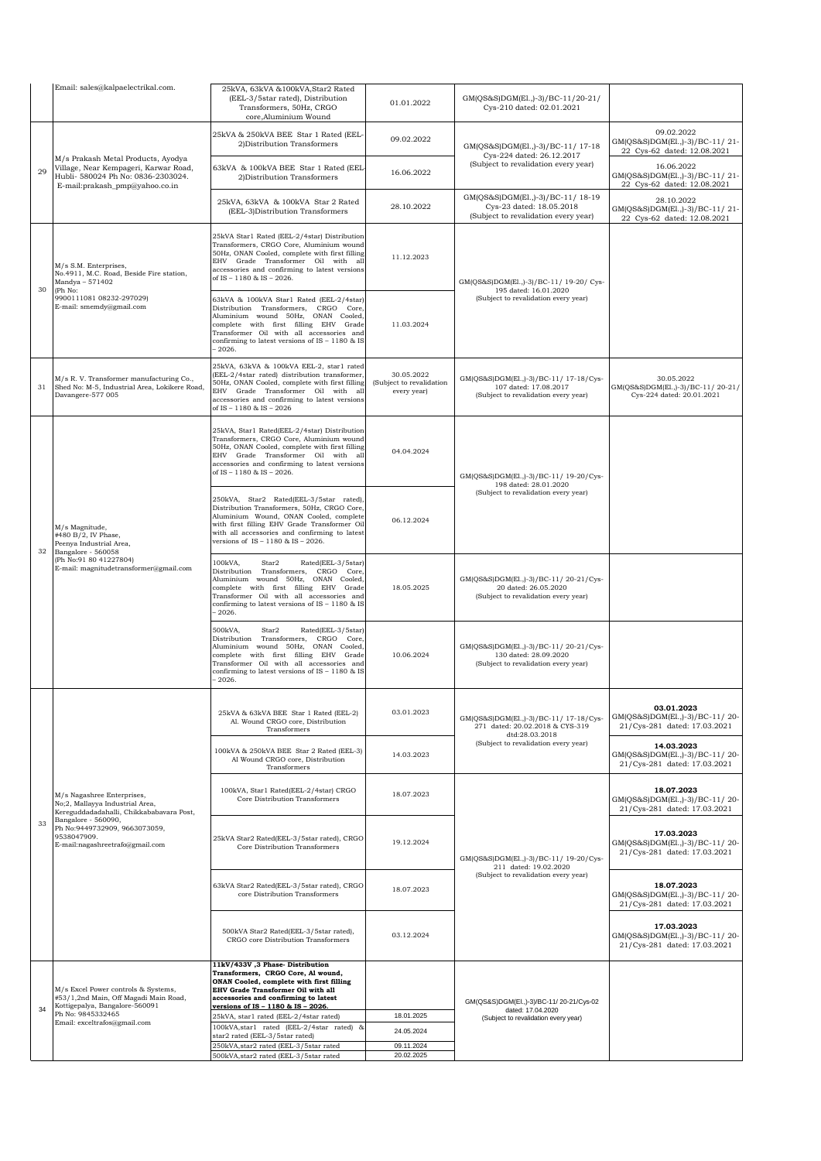|    | Email: sales@kalpaelectrikal.com.                                                                                                                   | 25kVA, 63kVA &100kVA, Star2 Rated<br>(EEL-3/5star rated), Distribution<br>Transformers, 50Hz, CRGO<br>core, Aluminium Wound                                                                                                                                                 | 01.01.2022                                            | GM(QS&S)DGM(El.,)-3)/BC-11/20-21/<br>Cys-210 dated: 02.01.2021                                          |                                                                                                                                                                                                                                                                                                                                                                                                                                                                                              |
|----|-----------------------------------------------------------------------------------------------------------------------------------------------------|-----------------------------------------------------------------------------------------------------------------------------------------------------------------------------------------------------------------------------------------------------------------------------|-------------------------------------------------------|---------------------------------------------------------------------------------------------------------|----------------------------------------------------------------------------------------------------------------------------------------------------------------------------------------------------------------------------------------------------------------------------------------------------------------------------------------------------------------------------------------------------------------------------------------------------------------------------------------------|
|    |                                                                                                                                                     | 25kVA & 250kVA BEE Star 1 Rated (EEL-<br>2) Distribution Transformers                                                                                                                                                                                                       | 09.02.2022                                            | GM(QS&S)DGM(El.,)-3)/BC-11/ 17-18<br>Cys-224 dated: 26.12.2017                                          | 09.02.2022<br>GM(QS&S)DGM(El.,)-3)/BC-11/21-<br>22 Cys-62 dated: 12.08.2021                                                                                                                                                                                                                                                                                                                                                                                                                  |
| 29 | M/s Prakash Metal Products, Ayodya<br>Village, Near Kempageri, Karwar Road,<br>Hubli- 580024 Ph No: 0836-2303024.<br>E-mail:prakash_pmp@yahoo.co.in | 63kVA & 100kVA BEE Star 1 Rated (EEL<br>2) Distribution Transformers                                                                                                                                                                                                        | 16.06.2022                                            | (Subject to revalidation every year)                                                                    | 16.06.2022<br>GM(QS&S)DGM(El.,)-3)/BC-11/21-<br>22 Cys-62 dated: 12.08.2021                                                                                                                                                                                                                                                                                                                                                                                                                  |
|    |                                                                                                                                                     | 25kVA, 63kVA & 100kVA Star 2 Rated<br>(EEL-3)Distribution Transformers                                                                                                                                                                                                      | 28.10.2022                                            | GM(QS&S)DGM(El.,)-3)/BC-11/ 18-19<br>Cys-23 dated: 18.05.2018<br>(Subject to revalidation every year)   | 28.10.2022<br>GM(QS&S)DGM(El.,)-3)/BC-11/21-<br>22 Cys-62 dated: 12.08.2021                                                                                                                                                                                                                                                                                                                                                                                                                  |
| 30 | M/s S.M. Enterprises,<br>No.4911, M.C. Road, Beside Fire station,<br>Mandya - 571402                                                                | 25kVA Star1 Rated (EEL-2/4star) Distribution<br>Transformers, CRGO Core, Aluminium wound<br>50Hz, ONAN Cooled, complete with first filling<br>EHV Grade Transformer Oil with all<br>accessories and confirming to latest versions<br>of IS - 1180 & IS - 2026.              | 11.12.2023                                            | GM(QS&S)DGM(El.,)-3)/BC-11/ 19-20/ Cys-                                                                 |                                                                                                                                                                                                                                                                                                                                                                                                                                                                                              |
|    | (Ph No:<br>9900111081 08232-297029)<br>E-mail: smemdy@gmail.com                                                                                     | 63kVA & 100kVA Star1 Rated (EEL-2/4star)<br>Distribution Transformers, CRGO Core,<br>Aluminium wound 50Hz, ONAN Cooled,<br>complete with first filling EHV Grade<br>Transformer Oil with all accessories and<br>confirming to latest versions of IS - 1180 & IS<br>$-2026.$ | 11.03.2024                                            | (Subject to revalidation every year)                                                                    |                                                                                                                                                                                                                                                                                                                                                                                                                                                                                              |
| 31 | M/s R.V. Transformer manufacturing Co.,<br>Shed No: M-5, Industrial Area, Lokikere Road,<br>Davangere-577 005                                       | 25kVA, 63kVA & 100kVA EEL-2, star1 rated<br>(EEL-2/4star rated) distribution transformer,<br>50Hz, ONAN Cooled, complete with first filling<br>EHV Grade Transformer Oil with all<br>accessories and confirming to latest versions<br>of IS - 1180 & IS - 2026              | 30.05.2022<br>(Subject to revalidation<br>every year) | GM(QS&S)DGM(El.,)-3)/BC-11/ 17-18/Cys-<br>107 dated: 17.08.2017<br>(Subject to revalidation every year) | 30.05.2022<br>GM(QS&S)DGM(El.,)-3)/BC-11/20-21/<br>Cys-224 dated: 20.01.2021                                                                                                                                                                                                                                                                                                                                                                                                                 |
|    |                                                                                                                                                     | 25kVA, Star1 Rated(EEL-2/4star) Distribution<br>Transformers, CRGO Core, Aluminium wound<br>50Hz, ONAN Cooled, complete with first filling<br>EHV Grade Transformer Oil with all<br>accessories and confirming to latest versions<br>of IS - 1180 & IS - 2026.              | 04.04.2024                                            | GM(QS&S)DGM(El.,)-3)/BC-11/ 19-20/Cys-                                                                  |                                                                                                                                                                                                                                                                                                                                                                                                                                                                                              |
| 32 | M/s Magnitude,<br>#480 B/2, IV Phase,<br>Peenya Industrial Area,<br>Bangalore - 560058                                                              | 250kVA, Star2 Rated(EEL-3/5star rated),<br>Distribution Transformers, 50Hz, CRGO Core,<br>Aluminium Wound, ONAN Cooled, complete<br>with first filling EHV Grade Transformer Oil<br>with all accessories and confirming to latest<br>versions of IS - 1180 & IS - 2026.     | 06.12.2024                                            | (Subject to revalidation every year)                                                                    |                                                                                                                                                                                                                                                                                                                                                                                                                                                                                              |
|    | (Ph No:91 80 41227804)<br>E-mail: magnitudetransformer@gmail.com                                                                                    | 100kVA,<br>Star2<br>Rated(EEL-3/5star)<br>Distribution Transformers, CRGO Core,<br>Aluminium wound 50Hz, ONAN Cooled,<br>complete with first filling EHV Grade<br>Transformer Oil with all accessories and<br>confirming to latest versions of IS - 1180 & IS<br>$-2026.$   | 18.05.2025                                            | GM(QS&S)DGM(El.,)-3)/BC-11/20-21/Cys-<br>20 dated: 26.05.2020<br>(Subject to revalidation every year)   |                                                                                                                                                                                                                                                                                                                                                                                                                                                                                              |
|    |                                                                                                                                                     | 500kVA,<br>Star2<br>Rated(EEL-3/5star)<br>Distribution Transformers, CRGO Core,<br>Aluminium wound 50Hz, ONAN Cooled,<br>complete with first filling EHV Grade<br>Transformer Oil with all accessories and<br>confirming to latest versions of IS - 1180 & IS<br>$-2026.$   | 10.06.2024                                            | GM(QS&S)DGM(El.,)-3)/BC-11/20-21/Cys-<br>130 dated: 28.09.2020<br>(Subject to revalidation every year)  |                                                                                                                                                                                                                                                                                                                                                                                                                                                                                              |
|    |                                                                                                                                                     | 25kVA & 63kVA BEE Star 1 Rated (EEL-2)<br>Al. Wound CRGO core, Distribution<br>Transformers                                                                                                                                                                                 | 03.01.2023                                            | GM(QS&S)DGM(El.,)-3)/BC-11/ 17-18/Cys-<br>271 dated: 20.02.2018 & CYS-319                               | 03.01.2023<br>GM(QS&S)DGM(El.,)-3)/BC-11/20-<br>21/Cys-281 dated: 17.03.2021                                                                                                                                                                                                                                                                                                                                                                                                                 |
|    |                                                                                                                                                     | 100kVA & 250kVA BEE Star 2 Rated (EEL-3)<br>Al Wound CRGO core, Distribution<br>Transformers                                                                                                                                                                                | 14.03.2023                                            | (Subject to revalidation every year)                                                                    | 195 dated: 16.01.2020<br>198 dated: 28.01.2020<br>dtd:28.03.2018<br>14.03.2023<br>GM(QS&S)DGM(El.,)-3)/BC-11/20-<br>21/Cys-281 dated: 17.03.2021<br>18.07.2023<br>GM(QS&S)DGM(El.,)-3)/BC-11/20-<br>21/Cys-281 dated: 17.03.2021<br>17.03.2023<br>21/Cys-281 dated: 17.03.2021<br>211 dated: 19.02.2020<br>18.07.2023<br>GM(QS&S)DGM(El.,)-3)/BC-11/20-<br>21/Cys-281 dated: 17.03.2021<br>17.03.2023<br>GM(QS&S)DGM(El.,)-3)/BC-11/20-<br>21/Cys-281 dated: 17.03.2021<br>dated: 17.04.2020 |
|    | M/s Nagashree Enterprises,<br>No;2, Mallayya Industrial Area,<br>Kereguddadadahalli, Chikkababavara Post,                                           | 100kVA, Star1 Rated(EEL-2/4star) CRGO<br>Core Distribution Transformers                                                                                                                                                                                                     | 18.07.2023                                            |                                                                                                         |                                                                                                                                                                                                                                                                                                                                                                                                                                                                                              |
| 33 | Bangalore - 560090,<br>Ph No:9449732909, 9663073059,<br>9538047909.<br>E-mail:nagashreetrafo@gmail.com                                              | 25kVA Star2 Rated(EEL-3/5star rated), CRGO<br>Core Distribution Transformers                                                                                                                                                                                                | 19.12.2024                                            | GM(QS&S)DGM(El.,)-3)/BC-11/ 19-20/Cys-                                                                  | GM(QS&S)DGM(El.,)-3)/BC-11/20-                                                                                                                                                                                                                                                                                                                                                                                                                                                               |
|    |                                                                                                                                                     | 63kVA Star2 Rated(EEL-3/5star rated), CRGO<br>core Distribution Transformers                                                                                                                                                                                                | (Subject to revalidation every year)<br>18.07.2023    |                                                                                                         |                                                                                                                                                                                                                                                                                                                                                                                                                                                                                              |
|    |                                                                                                                                                     | 500kVA Star2 Rated(EEL-3/5star rated),<br>CRGO core Distribution Transformers                                                                                                                                                                                               | 03.12.2024                                            |                                                                                                         |                                                                                                                                                                                                                                                                                                                                                                                                                                                                                              |
| 34 | M/s Excel Power controls & Systems,<br>#53/1,2nd Main, Off Magadi Main Road,<br>Kottigepalya, Bangalore-560091                                      | 11kV/433V, 3 Phase-Distribution<br>Transformers, CRGO Core, Al wound,<br>ONAN Cooled, complete with first filling<br>EHV Grade Transformer Oil with all<br>accessories and confirming to latest<br>versions of IS - 1180 & IS - 2026.                                       |                                                       | GM(QS&S)DGM(El.,)-3)/BC-11/20-21/Cys-02                                                                 |                                                                                                                                                                                                                                                                                                                                                                                                                                                                                              |
|    | Ph No: 9845332465<br>Email: exceltrafos@gmail.com                                                                                                   | 25kVA, star1 rated (EEL-2/4star rated)                                                                                                                                                                                                                                      | 18.01.2025                                            | (Subject to revalidation every year)                                                                    |                                                                                                                                                                                                                                                                                                                                                                                                                                                                                              |
|    |                                                                                                                                                     | 100kVA, star1 rated (EEL-2/4star rated) &<br>star2 rated (EEL-3/5star rated)                                                                                                                                                                                                | 24.05.2024                                            |                                                                                                         |                                                                                                                                                                                                                                                                                                                                                                                                                                                                                              |
|    |                                                                                                                                                     | 250kVA, star2 rated (EEL-3/5star rated                                                                                                                                                                                                                                      | 09.11.2024                                            |                                                                                                         |                                                                                                                                                                                                                                                                                                                                                                                                                                                                                              |
|    |                                                                                                                                                     | 500kVA, star2 rated (EEL-3/5star rated                                                                                                                                                                                                                                      | 20.02.2025                                            |                                                                                                         |                                                                                                                                                                                                                                                                                                                                                                                                                                                                                              |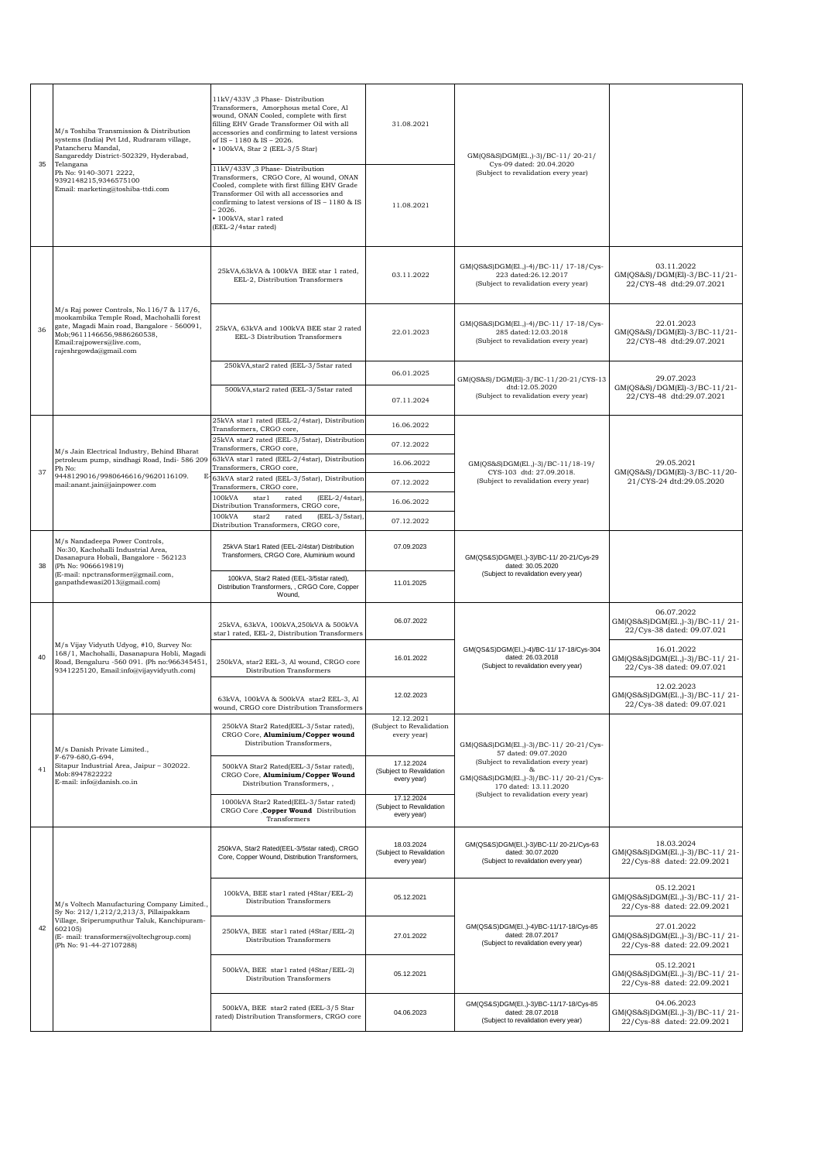|    | M/s Toshiba Transmission & Distribution<br>systems (India) Pvt Ltd, Rudraram village,<br>Patancheru Mandal,<br>Sangareddy District-502329, Hyderabad,                                                                      | 11kV/433V, 3 Phase-Distribution<br>Transformers, Amorphous metal Core, Al<br>wound, ONAN Cooled, complete with first<br>filling EHV Grade Transformer Oil with all<br>31.08.2021<br>accessories and confirming to latest versions<br>of IS - 1180 & IS - 2026.<br>• 100kVA, Star 2 (EEL-3/5 Star)<br>Cys-09 dated: 20.04.2020 |                                                       | GM(QS&S)DGM(El.,)-3)/BC-11/20-21/                                                                                                   |                                                                             |
|----|----------------------------------------------------------------------------------------------------------------------------------------------------------------------------------------------------------------------------|-------------------------------------------------------------------------------------------------------------------------------------------------------------------------------------------------------------------------------------------------------------------------------------------------------------------------------|-------------------------------------------------------|-------------------------------------------------------------------------------------------------------------------------------------|-----------------------------------------------------------------------------|
| 35 | Telangana<br>Ph No: 9140-3071 2222,<br>9392148215,9346575100<br>Email: marketing@toshiba-ttdi.com                                                                                                                          | 11kV/433V ,3 Phase-Distribution<br>Transformers, CRGO Core, Al wound, ONAN<br>Cooled, complete with first filling EHV Grade<br>Transformer Oil with all accessories and<br>confirming to latest versions of IS - 1180 & IS<br>$-2026.$<br>· 100kVA, star1 rated<br>(EEL-2/4star rated)                                        | 11.08.2021                                            | (Subject to revalidation every year)                                                                                                |                                                                             |
|    |                                                                                                                                                                                                                            | 25kVA,63kVA & 100kVA BEE star 1 rated,<br>EEL-2, Distribution Transformers                                                                                                                                                                                                                                                    | 03.11.2022                                            | GM(QS&S)DGM(El.,)-4)/BC-11/ 17-18/Cys-<br>223 dated:26.12.2017<br>(Subject to revalidation every year)                              | 03.11.2022<br>GM(QS&S)/DGM(El)-3/BC-11/21-<br>22/CYS-48 dtd:29.07.2021      |
| 36 | M/s Raj power Controls, No.116/7 & 117/6,<br>mookambika Temple Road, Machohalli forest<br>gate, Magadi Main road, Bangalore - 560091,<br>Mob;9611146656,9886260538,<br>Email:rajpowers@live.com,<br>rajeshrgowda@gmail.com | 25kVA, 63kVA and 100kVA BEE star 2 rated<br>EEL-3 Distribution Transformers                                                                                                                                                                                                                                                   | 22.01.2023                                            | GM(QS&S)DGM(El.,)-4)/BC-11/ 17-18/Cys-<br>285 dated:12.03.2018<br>(Subject to revalidation every year)                              | 22.01.2023<br>GM(QS&S)/DGM(El)-3/BC-11/21-<br>22/CYS-48 dtd:29.07.2021      |
|    |                                                                                                                                                                                                                            | 250kVA, star2 rated (EEL-3/5star rated                                                                                                                                                                                                                                                                                        | 06.01.2025                                            | GM(QS&S)/DGM(El)-3/BC-11/20-21/CYS-13                                                                                               | 29.07.2023                                                                  |
|    |                                                                                                                                                                                                                            | 500kVA, star2 rated (EEL-3/5star rated                                                                                                                                                                                                                                                                                        | 07.11.2024                                            | dtd:12.05.2020<br>(Subject to revalidation every year)                                                                              | GM(QS&S)/DGM(El)-3/BC-11/21-<br>22/CYS-48 dtd:29.07.2021                    |
|    |                                                                                                                                                                                                                            | 25kVA star1 rated (EEL-2/4star), Distribution<br>Transformers, CRGO core,                                                                                                                                                                                                                                                     | 16.06.2022                                            |                                                                                                                                     |                                                                             |
|    | M/s Jain Electrical Industry, Behind Bharat                                                                                                                                                                                | 25kVA star2 rated (EEL-3/5star), Distribution<br>Transformers, CRGO core,                                                                                                                                                                                                                                                     | 07.12.2022                                            |                                                                                                                                     |                                                                             |
| 37 | petroleum pump, sindhagi Road, Indi- 586 209<br>Ph No:                                                                                                                                                                     | 63kVA star1 rated (EEL-2/4star), Distribution<br>Transformers, CRGO core,                                                                                                                                                                                                                                                     | 16.06.2022                                            | GM(QS&S)DGM(El.,)-3)/BC-11/18-19/<br>CYS-103 dtd: 27.09.2018.                                                                       | 29.05.2021<br>GM(QS&S)/DGM(El)-3/BC-11/20-                                  |
|    | 9448129016/9980646616/9620116109.<br>Е<br>mail:anant.jain@jainpower.com                                                                                                                                                    | 63kVA star2 rated (EEL-3/5star), Distribution<br>Transformers, CRGO core,                                                                                                                                                                                                                                                     | 07.12.2022                                            | (Subject to revalidation every year)                                                                                                | 21/CYS-24 dtd:29.05.2020                                                    |
|    |                                                                                                                                                                                                                            | 100kVA<br>star1<br>rated<br>$(EEL-2/4star),$<br>Distribution Transformers, CRGO core,                                                                                                                                                                                                                                         | 16.06.2022                                            |                                                                                                                                     |                                                                             |
|    |                                                                                                                                                                                                                            | 100kVA<br>$(EEL-3/5star)$<br>star2<br>rated<br>Distribution Transformers, CRGO core,                                                                                                                                                                                                                                          | 07.12.2022                                            |                                                                                                                                     |                                                                             |
| 38 | M/s Nandadeepa Power Controls,<br>No:30, Kachohalli Industrial Area,<br>Dasanapura Hobali, Bangalore - 562123<br>(Ph No: 9066619819)<br>(E-mail: npctransformer@gmail.com,<br>ganpathdewasi2013@gmail.com)                 | 25kVA Star1 Rated (EEL-2/4star) Distribution<br>Transformers, CRGO Core, Aluminium wound                                                                                                                                                                                                                                      | 07.09.2023                                            | GM(QS&S)DGM(El.,)-3)/BC-11/20-21/Cys-29<br>dated: 30.05.2020                                                                        |                                                                             |
|    |                                                                                                                                                                                                                            | 100kVA, Star2 Rated (EEL-3/5star rated),<br>Distribution Transformers, , CRGO Core, Copper<br>Wound,                                                                                                                                                                                                                          | 11.01.2025                                            | (Subject to revalidation every year)                                                                                                |                                                                             |
|    |                                                                                                                                                                                                                            | 25kVA, 63kVA, 100kVA, 250kVA & 500kVA<br>star1 rated, EEL-2, Distribution Transformers                                                                                                                                                                                                                                        | 06.07.2022                                            |                                                                                                                                     | 06.07.2022<br>GM(QS&S)DGM(El.,)-3)/BC-11/21-<br>22/Cys-38 dated: 09.07.021  |
| 40 | M/s Vijay Vidyuth Udyog, #10, Survey No:<br>168/1, Machohalli, Dasanapura Hobli, Magadi<br>Road, Bengaluru -560 091. (Ph no:966345451,<br>9341225120, Email:info@vijayvidyuth.com)                                         | 250kVA, star2 EEL-3, Al wound, CRGO core<br>Distribution Transformers                                                                                                                                                                                                                                                         | 16.01.2022                                            | GM(QS&S)DGM(El.,)-4)/BC-11/ 17-18/Cys-304<br>dated: 26.03.2018<br>(Subject to revalidation every year)                              | 16.01.2022<br>GM(QS&S)DGM(El.,)-3)/BC-11/21-<br>22/Cys-38 dated: 09.07.021  |
|    |                                                                                                                                                                                                                            | 63kVA, 100kVA & 500kVA star2 EEL-3, Al<br>wound, CRGO core Distribution Transformers                                                                                                                                                                                                                                          | 12.02.2023                                            |                                                                                                                                     | 12.02.2023<br>GM(QS&S)DGM(El.,)-3)/BC-11/21-<br>22/Cys-38 dated: 09.07.021  |
|    | M/s Danish Private Limited.,                                                                                                                                                                                               | 250kVA Star2 Rated(EEL-3/5star rated).<br>CRGO Core, Aluminium/Copper wound<br>Distribution Transformers,                                                                                                                                                                                                                     | 12.12.2021<br>(Subject to Revalidation<br>every year) | GM(QS&S)DGM(El.,)-3)/BC-11/20-21/Cys-                                                                                               |                                                                             |
| 41 | F-679-680, G-694,<br>Sitapur Industrial Area, Jaipur - 302022.<br>Mob:8947822222<br>E-mail: info@danish.co.in                                                                                                              | 500kVA Star2 Rated(EEL-3/5star rated),<br>CRGO Core, Aluminium/Copper Wound<br>Distribution Transformers,,                                                                                                                                                                                                                    | 17.12.2024<br>(Subject to Revalidation<br>every year) | 57 dated: 09.07.2020<br>(Subject to revalidation every year)<br>&<br>GM(QS&S)DGM(El.,)-3)/BC-11/20-21/Cvs-<br>170 dated: 13.11.2020 |                                                                             |
|    |                                                                                                                                                                                                                            | 1000kVA Star2 Rated(EEL-3/5star rated)<br>CRGO Core , Copper Wound Distribution<br>Transformers                                                                                                                                                                                                                               | 17.12.2024<br>(Subject to Revalidation<br>every year) | (Subject to revalidation every year)                                                                                                |                                                                             |
|    |                                                                                                                                                                                                                            | 250kVA, Star2 Rated(EEL-3/5star rated), CRGO<br>Core, Copper Wound, Distribution Transformers,                                                                                                                                                                                                                                | 18.03.2024<br>(Subject to Revalidation<br>every year) | GM(QS&S)DGM(El.,)-3)/BC-11/20-21/Cys-63<br>dated: 30.07.2020<br>(Subject to revalidation every year)                                | 18.03.2024<br>GM(QS&S)DGM(El.,)-3)/BC-11/21-<br>22/Cys-88 dated: 22.09.2021 |
|    | M/s Voltech Manufacturing Company Limited.,<br>Sy No: 212/1,212/2,213/3, Pillaipakkam                                                                                                                                      | 100kVA, BEE star1 rated (4Star/EEL-2)<br>Distribution Transformers                                                                                                                                                                                                                                                            | 05.12.2021                                            |                                                                                                                                     | 05.12.2021<br>GM(QS&S)DGM(El.,)-3)/BC-11/21-<br>22/Cys-88 dated: 22.09.2021 |
| 42 | Village, Sriperumputhur Taluk, Kanchipuram-<br>602105)<br>(E- mail: transformers@voltechgroup.com)<br>(Ph No: 91-44-27107288)                                                                                              | 250kVA, BEE star1 rated (4Star/EEL-2)<br>Distribution Transformers                                                                                                                                                                                                                                                            | 27.01.2022                                            | GM(QS&S)DGM(El.,)-4)/BC-11/17-18/Cys-85<br>dated: 28.07.2017<br>(Subject to revalidation every year)                                | 27.01.2022<br>GM(QS&S)DGM(El.,)-3)/BC-11/21-<br>22/Cys-88 dated: 22.09.2021 |
|    |                                                                                                                                                                                                                            | 500kVA, BEE star1 rated (4Star/EEL-2)<br>Distribution Transformers                                                                                                                                                                                                                                                            | 05.12.2021                                            |                                                                                                                                     | 05.12.2021<br>GM(QS&S)DGM(El.,)-3)/BC-11/21-<br>22/Cys-88 dated: 22.09.2021 |
|    |                                                                                                                                                                                                                            | 500kVA, BEE star2 rated (EEL-3/5 Star<br>rated) Distribution Transformers, CRGO core                                                                                                                                                                                                                                          | 04.06.2023                                            | GM(QS&S)DGM(El.,)-3)/BC-11/17-18/Cys-85<br>dated: 28.07.2018<br>(Subject to revalidation every year)                                | 04.06.2023<br>GM(QS&S)DGM(El.,)-3)/BC-11/21-<br>22/Cys-88 dated: 22.09.2021 |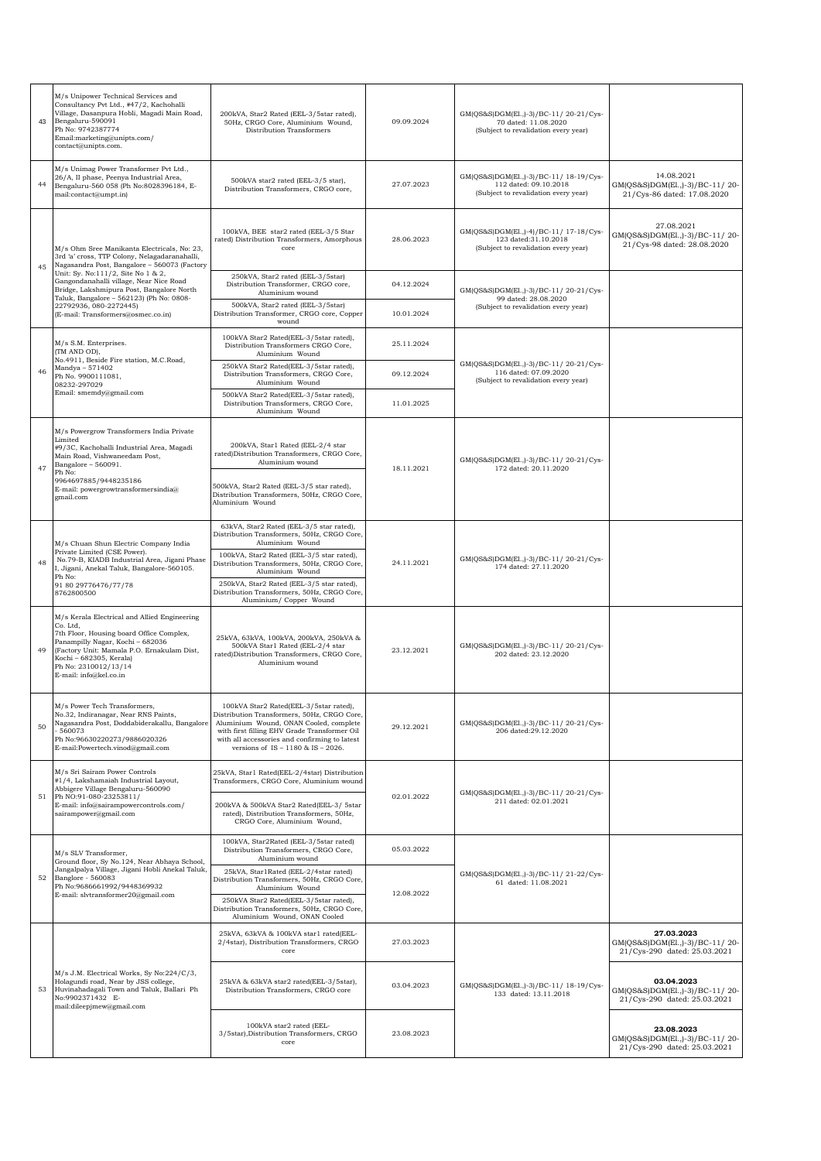| 43 | M/s Unipower Technical Services and<br>Consultancy Pvt Ltd., #47/2, Kachohalli<br>Village, Dasanpura Hobli, Magadi Main Road,<br>Bengaluru-590091<br>Ph No: 9742387774<br>Email:marketing@unipts.com/<br>contact@unipts.com.                                        | 200kVA, Star2 Rated (EEL-3/5star rated),<br>50Hz, CRGO Core, Aluminium Wound,<br>Distribution Transformers                                                                                                                                                                                                                                       | 09.09.2024 | GM(QS&S)DGM(El.,)-3)/BC-11/20-21/Cys-<br>70 dated: 11.08.2020<br>(Subject to revalidation every year)   |                                                                              |
|----|---------------------------------------------------------------------------------------------------------------------------------------------------------------------------------------------------------------------------------------------------------------------|--------------------------------------------------------------------------------------------------------------------------------------------------------------------------------------------------------------------------------------------------------------------------------------------------------------------------------------------------|------------|---------------------------------------------------------------------------------------------------------|------------------------------------------------------------------------------|
| 44 | M/s Unimag Power Transformer Pvt Ltd.,<br>26/A, II phase, Peenya Industrial Area,<br>Bengaluru-560 058 (Ph No:8028396184, E-<br>mail:contact@umpt.in)                                                                                                               | 500kVA star2 rated (EEL-3/5 star),<br>Distribution Transformers, CRGO core,                                                                                                                                                                                                                                                                      | 27.07.2023 | GM(QS&S)DGM(El.,)-3)/BC-11/ 18-19/Cys-<br>112 dated: 09.10.2018<br>(Subject to revalidation every year) | 14.08.2021<br>GM(QS&S)DGM(El.,)-3)/BC-11/20-<br>21/Cys-86 dated: 17.08.2020  |
| 45 | M/s Ohm Sree Manikanta Electricals, No: 23,<br>3rd 'a' cross, TTP Colony, Nelagadaranahalli,<br>Nagasandra Post, Bangalore - 560073 (Factory                                                                                                                        | 100kVA, BEE star2 rated (EEL-3/5 Star<br>rated) Distribution Transformers, Amorphous<br>core                                                                                                                                                                                                                                                     | 28.06.2023 | GM(QS&S)DGM(El.,)-4)/BC-11/ 17-18/Cys-<br>123 dated:31.10.2018<br>(Subject to revalidation every year)  | 27.08.2021<br>GM(QS&S)DGM(El.,)-3)/BC-11/20-<br>21/Cys-98 dated: 28.08.2020  |
|    | Unit: Sy. No:111/2, Site No 1 & 2,<br>Gangondanahalli village, Near Nice Road<br>Bridge, Lakshmipura Post, Bangalore North                                                                                                                                          | 250kVA, Star2 rated (EEL-3/5star)<br>Distribution Transformer, CRGO core,<br>Aluminium wound                                                                                                                                                                                                                                                     | 04.12.2024 | GM(QS&S)DGM(El.,)-3)/BC-11/20-21/Cys-                                                                   |                                                                              |
|    | Taluk, Bangalore - 562123) (Ph No: 0808-<br>22792936, 080-2272445)<br>(E-mail: Transformers@osmec.co.in)                                                                                                                                                            | 500kVA, Star2 rated (EEL-3/5star)<br>Distribution Transformer, CRGO core, Copper<br>wound                                                                                                                                                                                                                                                        | 10.01.2024 | 99 dated: 28.08.2020<br>(Subject to revalidation every year)                                            |                                                                              |
|    | M/s S.M. Enterprises.<br>(TM AND OD),                                                                                                                                                                                                                               | 100kVA Star2 Rated(EEL-3/5star rated),<br>Distribution Transformers CRGO Core,<br>Aluminium Wound                                                                                                                                                                                                                                                | 25.11.2024 |                                                                                                         |                                                                              |
| 46 | No.4911, Beside Fire station, M.C.Road,<br>Mandya - 571402<br>Ph No. 9900111081,<br>08232-297029                                                                                                                                                                    | 250kVA Star2 Rated(EEL-3/5star rated),<br>Distribution Transformers, CRGO Core,<br>Aluminium Wound                                                                                                                                                                                                                                               | 09.12.2024 | GM(QS&S)DGM(El.,)-3)/BC-11/20-21/Cys-<br>116 dated: 07.09.2020<br>(Subject to revalidation every year)  |                                                                              |
|    | Email: smemdy@gmail.com                                                                                                                                                                                                                                             | 500kVA Star2 Rated(EEL-3/5star rated),<br>Distribution Transformers, CRGO Core.<br>Aluminium Wound                                                                                                                                                                                                                                               | 11.01.2025 |                                                                                                         |                                                                              |
| 47 | M/s Powergrow Transformers India Private<br>Limited<br>#9/3C, Kachohalli Industrial Area, Magadi<br>Main Road, Vishwaneedam Post,<br>Bangalore - 560091.<br>Ph No:<br>9964697885/9448235186<br>E-mail: powergrowtransformersindia@<br>gmail.com                     | 200kVA, Star1 Rated (EEL-2/4 star<br>rated)Distribution Transformers, CRGO Core,<br>Aluminium wound<br>500kVA, Star2 Rated (EEL-3/5 star rated),<br>Distribution Transformers, 50Hz, CRGO Core,<br>Aluminium Wound                                                                                                                               | 18.11.2021 | GM(QS&S)DGM(El.,)-3)/BC-11/20-21/Cys-<br>172 dated: 20.11.2020                                          |                                                                              |
| 48 | M/s Chuan Shun Electric Company India<br>Private Limited (CSE Power).<br>No.79-B, KIADB Industrial Area, Jigani Phase<br>I, Jigani, Anekal Taluk, Bangalore-560105.<br>Ph No:<br>91 80 29776476/77/78<br>8762800500                                                 | 63kVA, Star2 Rated (EEL-3/5 star rated),<br>Distribution Transformers, 50Hz, CRGO Core,<br>Aluminium Wound<br>100kVA, Star2 Rated (EEL-3/5 star rated),<br>Distribution Transformers, 50Hz, CRGO Core,<br>Aluminium Wound<br>250kVA, Star2 Rated (EEL-3/5 star rated),<br>Distribution Transformers, 50Hz, CRGO Core,<br>Aluminium/ Copper Wound | 24.11.2021 | GM(QS&S)DGM(El.,)-3)/BC-11/20-21/Cys-<br>174 dated: 27.11.2020                                          |                                                                              |
| 49 | M/s Kerala Electrical and Allied Engineering<br>Co. Ltd,<br>7th Floor, Housing board Office Complex,<br>Panampilly Nagar, Kochi - 682036<br>(Factory Unit: Mamala P.O. Ernakulam Dist,<br>Kochi - 682305, Kerala)<br>Ph No: 2310012/13/14<br>E-mail: info@kel.co.in | 25kVA, 63kVA, 100kVA, 200kVA, 250kVA &<br>500kVA Star1 Rated (EEL-2/4 star<br>rated)Distribution Transformers, CRGO Core,<br>Aluminium wound                                                                                                                                                                                                     | 23.12.2021 | GM(QS&S)DGM(El.,)-3)/BC-11/20-21/Cys-<br>202 dated: 23.12.2020                                          |                                                                              |
| 50 | M/s Power Tech Transformers,<br>No.32, Indiranagar, Near RNS Paints,<br>Nagasandra Post, Doddabiderakallu, Bangalore<br>560073<br>Ph No:96630220273/9886020326<br>E-mail:Powertech.vinod@gmail.com                                                                  | 100kVA Star2 Rated(EEL-3/5star rated),<br>Distribution Transformers, 50Hz, CRGO Core,<br>Aluminium Wound, ONAN Cooled, complete<br>with first filling EHV Grade Transformer Oil<br>with all accessories and confirming to latest<br>versions of $IS - 1180$ & $IS - 2026$ .                                                                      | 29.12.2021 | GM(QS&S)DGM(El.,)-3)/BC-11/20-21/Cys-<br>206 dated:29.12.2020                                           |                                                                              |
| 51 | M/s Sri Sairam Power Controls<br>#1/4, Lakshamaiah Industrial Layout,<br>Abbigere Village Bengaluru-560090<br>Ph NO:91-080-23253811/<br>E-mail: info@sairampowercontrols.com/<br>sairampower@gmail.com                                                              | 25kVA, Star1 Rated(EEL-2/4star) Distribution<br>Transformers, CRGO Core, Aluminium wound<br>200kVA & 500kVA Star2 Rated(EEL-3/ 5star<br>rated), Distribution Transformers, 50Hz,<br>CRGO Core, Aluminium Wound,                                                                                                                                  | 02.01.2022 | GM(QS&S)DGM(El.,)-3)/BC-11/20-21/Cys-<br>211 dated: 02.01.2021                                          |                                                                              |
|    | M/s SLV Transformer,                                                                                                                                                                                                                                                | 100kVA, Star2Rated (EEL-3/5star rated)<br>Distribution Transformers, CRGO Core,<br>Aluminium wound                                                                                                                                                                                                                                               | 05.03.2022 |                                                                                                         |                                                                              |
| 52 | Ground floor, Sy No.124, Near Abhaya School,<br>Jangalpalya Village, Jigani Hobli Anekal Taluk,<br>Banglore - 560083<br>Ph No:9686661992/9448369932<br>E-mail: slvtransformer20@gmail.com                                                                           | 25kVA, Star1Rated (EEL-2/4star rated)<br>Distribution Transformers, 50Hz, CRGO Core,<br>Aluminium Wound<br>250kVA Star2 Rated(EEL-3/5star rated),<br>Distribution Transformers, 50Hz, CRGO Core,                                                                                                                                                 | 12.08.2022 | GM(QS&S)DGM(El.,)-3)/BC-11/21-22/Cvs-<br>61 dated: 11.08.2021                                           |                                                                              |
|    |                                                                                                                                                                                                                                                                     | Aluminium Wound, ONAN Cooled<br>25kVA, 63kVA & 100kVA star1 rated(EEL-<br>2/4star), Distribution Transformers, CRGO<br>$_{\rm core}$                                                                                                                                                                                                             | 27.03.2023 |                                                                                                         | 27.03.2023<br>GM(QS&S)DGM(El.,)-3)/BC-11/20-<br>21/Cys-290 dated: 25.03.2021 |
| 53 | M/s J.M. Electrical Works, Sy No:224/C/3,<br>Holagundi road, Near by JSS college,<br>Huvinahadagali Town and Taluk, Ballari Ph<br>No:9902371432 E-<br>mail:dileepjmew@gmail.com                                                                                     | 25kVA & 63kVA star2 rated(EEL-3/5star),<br>Distribution Transformers, CRGO core                                                                                                                                                                                                                                                                  | 03.04.2023 | GM(QS&S)DGM(El.,)-3)/BC-11/ 18-19/Cys-<br>133 dated: 13.11.2018                                         | 03.04.2023<br>GM(QS&S)DGM(El.,)-3)/BC-11/20-<br>21/Cys-290 dated: 25.03.2021 |
|    |                                                                                                                                                                                                                                                                     | 100kVA star2 rated (EEL-<br>3/5star), Distribution Transformers, CRGO<br>core                                                                                                                                                                                                                                                                    | 23.08.2023 |                                                                                                         | 23.08.2023<br>GM(QS&S)DGM(El.,)-3)/BC-11/20-<br>21/Cys-290 dated: 25.03.2021 |